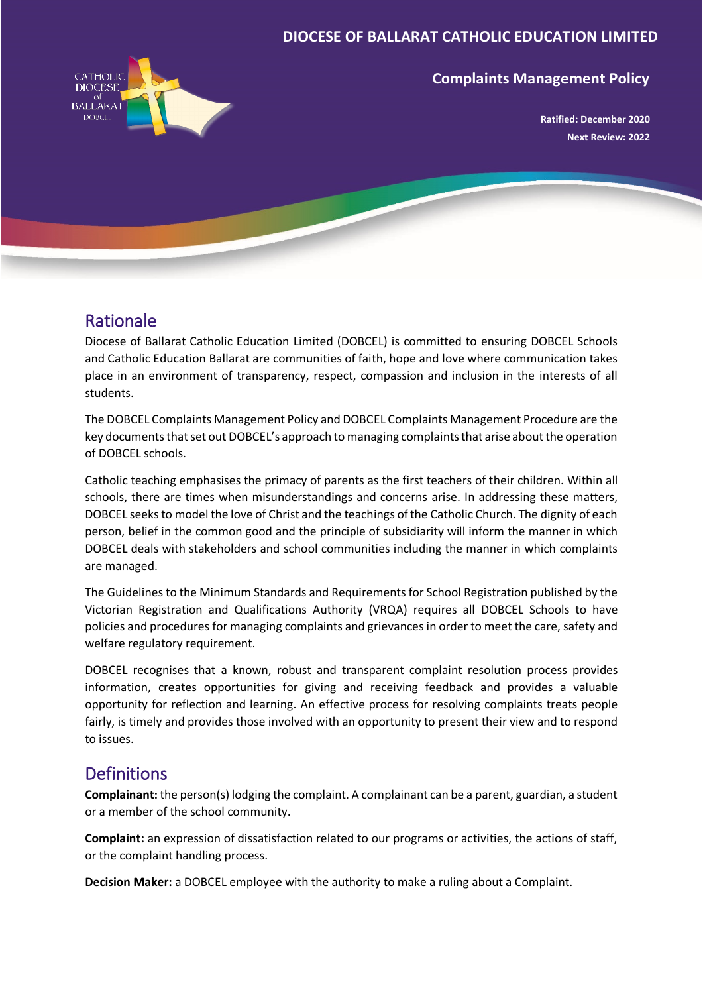#### **DIOCESE OF BALLARAT CATHOLIC EDUCATION LIMITED**



#### **Complaints Management Policy**

**Ratified: December 2020 Next Review: 2022**

### Rationale

Diocese of Ballarat Catholic Education Limited (DOBCEL) is committed to ensuring DOBCEL Schools and Catholic Education Ballarat are communities of faith, hope and love where communication takes place in an environment of transparency, respect, compassion and inclusion in the interests of all students.

The DOBCEL Complaints Management Policy and DOBCEL Complaints Management Procedure are the key documents that set out DOBCEL's approach to managing complaints that arise about the operation of DOBCEL schools.

Catholic teaching emphasises the primacy of parents as the first teachers of their children. Within all schools, there are times when misunderstandings and concerns arise. In addressing these matters, DOBCEL seeks to model the love of Christ and the teachings of the Catholic Church. The dignity of each person, belief in the common good and the principle of subsidiarity will inform the manner in which DOBCEL deals with stakeholders and school communities including the manner in which complaints are managed.

The Guidelines to the Minimum Standards and Requirements for School Registration published by the Victorian Registration and Qualifications Authority (VRQA) requires all DOBCEL Schools to have policies and procedures for managing complaints and grievances in order to meet the care, safety and welfare regulatory requirement.

DOBCEL recognises that a known, robust and transparent complaint resolution process provides information, creates opportunities for giving and receiving feedback and provides a valuable opportunity for reflection and learning. An effective process for resolving complaints treats people fairly, is timely and provides those involved with an opportunity to present their view and to respond to issues.

# Definitions

**Complainant:** the person(s) lodging the complaint. A complainant can be a parent, guardian, a student or a member of the school community.

**Complaint:** an expression of dissatisfaction related to our programs or activities, the actions of staff, or the complaint handling process.

**Decision Maker:** a DOBCEL employee with the authority to make a ruling about a Complaint.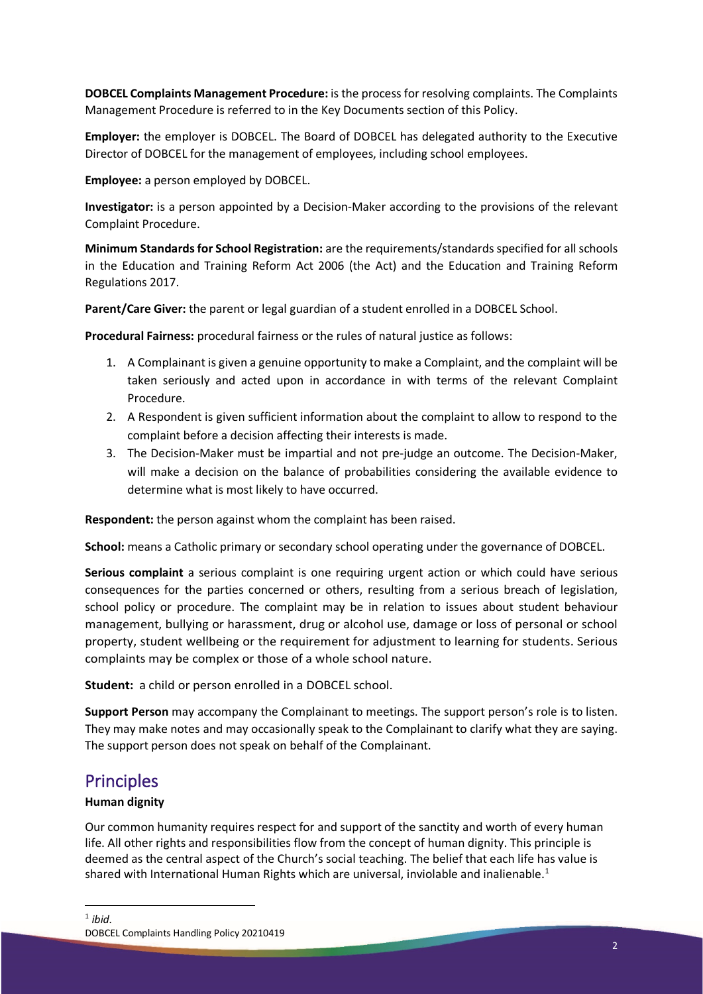**DOBCEL Complaints Management Procedure:** is the process for resolving complaints. The Complaints Management Procedure is referred to in the Key Documents section of this Policy.

**Employer:** the employer is DOBCEL. The Board of DOBCEL has delegated authority to the Executive Director of DOBCEL for the management of employees, including school employees.

**Employee:** a person employed by DOBCEL.

**Investigator:** is a person appointed by a Decision-Maker according to the provisions of the relevant Complaint Procedure.

**Minimum Standards for School Registration:** are the requirements/standards specified for all schools in the Education and Training Reform Act 2006 (the Act) and the Education and Training Reform Regulations 2017.

**Parent/Care Giver:** the parent or legal guardian of a student enrolled in a DOBCEL School.

**Procedural Fairness:** procedural fairness or the rules of natural justice as follows:

- 1. A Complainant is given a genuine opportunity to make a Complaint, and the complaint will be taken seriously and acted upon in accordance in with terms of the relevant Complaint Procedure.
- 2. A Respondent is given sufficient information about the complaint to allow to respond to the complaint before a decision affecting their interests is made.
- 3. The Decision-Maker must be impartial and not pre-judge an outcome. The Decision-Maker, will make a decision on the balance of probabilities considering the available evidence to determine what is most likely to have occurred.

**Respondent:** the person against whom the complaint has been raised.

**School:** means a Catholic primary or secondary school operating under the governance of DOBCEL.

**Serious complaint** a serious complaint is one requiring urgent action or which could have serious consequences for the parties concerned or others, resulting from a serious breach of legislation, school policy or procedure. The complaint may be in relation to issues about student behaviour management, bullying or harassment, drug or alcohol use, damage or loss of personal or school property, student wellbeing or the requirement for adjustment to learning for students. Serious complaints may be complex or those of a whole school nature.

**Student:** a child or person enrolled in a DOBCEL school.

**Support Person** may accompany the Complainant to meetings. The support person's role is to listen. They may make notes and may occasionally speak to the Complainant to clarify what they are saying. The support person does not speak on behalf of the Complainant.

# **Principles**

#### **Human dignity**

<span id="page-1-0"></span>Our common humanity requires respect for and support of the sanctity and worth of every human life. All other rights and responsibilities flow from the concept of human dignity. This principle is deemed as the central aspect of the Church's social teaching. The belief that each life has value is shared with International Human Rights which are universal, inviolable and inalienable.<sup>[1](#page-1-0)</sup>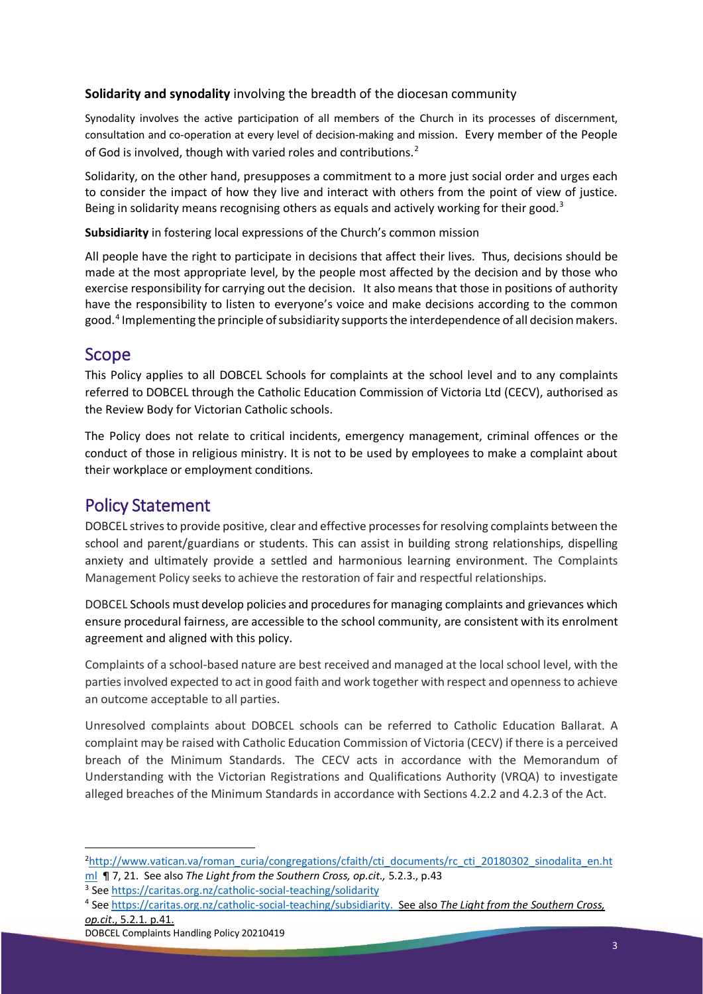#### **Solidarity and synodality** involving the breadth of the diocesan community

Synodality involves the active participation of all members of the Church in its processes of discernment, consultation and co-operation at every level of decision-making and mission. Every member of the People of God is involved, though with varied roles and contributions.<sup>[2](#page-2-0)</sup>

Solidarity, on the other hand, presupposes a commitment to a more just social order and urges each to consider the impact of how they live and interact with others from the point of view of justice. Being in solidarity means recognising others as equals and actively working for their good.<sup>[3](#page-2-1)</sup>

**Subsidiarity** in fostering local expressions of the Church's common mission

All people have the right to participate in decisions that affect their lives. Thus, decisions should be made at the most appropriate level, by the people most affected by the decision and by those who exercise responsibility for carrying out the decision. It also means that those in positions of authority have the responsibility to listen to everyone's voice and make decisions according to the common good.[4](#page-2-2) Implementing the principle of subsidiarity supports the interdependence of all decision makers.

### Scope

This Policy applies to all DOBCEL Schools for complaints at the school level and to any complaints referred to DOBCEL through the Catholic Education Commission of Victoria Ltd (CECV), authorised as the Review Body for Victorian Catholic schools.

The Policy does not relate to critical incidents, emergency management, criminal offences or the conduct of those in religious ministry. It is not to be used by employees to make a complaint about their workplace or employment conditions.

## Policy Statement

DOBCEL strives to provide positive, clear and effective processes for resolving complaints between the school and parent/guardians or students. This can assist in building strong relationships, dispelling anxiety and ultimately provide a settled and harmonious learning environment. The Complaints Management Policy seeks to achieve the restoration of fair and respectful relationships.

DOBCEL Schools must develop policies and proceduresfor managing complaints and grievances which ensure procedural fairness, are accessible to the school community, are consistent with its enrolment agreement and aligned with this policy.

Complaints of a school-based nature are best received and managed at the local school level, with the partiesinvolved expected to act in good faith and work together with respect and openness to achieve an outcome acceptable to all parties.

Unresolved complaints about DOBCEL schools can be referred to Catholic Education Ballarat. A complaint may be raised with Catholic Education Commission of Victoria (CECV) if there is a perceived breach of the Minimum Standards. The CECV acts in accordance with the Memorandum of Understanding with the Victorian Registrations and Qualifications Authority (VRQA) to investigate alleged breaches of the Minimum Standards in accordance with Sections 4.2.2 and 4.2.3 of the Act.

<span id="page-2-0"></span><sup>&</sup>lt;sup>2</sup>[http://www.vatican.va/roman\\_curia/congregations/cfaith/cti\\_documents/rc\\_cti\\_20180302\\_sinodalita\\_en.ht](http://www.vatican.va/roman_curia/congregations/cfaith/cti_documents/rc_cti_20180302_sinodalita_en.html) [ml](http://www.vatican.va/roman_curia/congregations/cfaith/cti_documents/rc_cti_20180302_sinodalita_en.html) ¶ 7, 21. See also *The Light from the Southern Cross, op.cit.,* 5.2.3., p.43

<span id="page-2-1"></span><sup>3</sup> Se[e https://caritas.org.nz/catholic-social-teaching/solidarity](https://caritas.org.nz/catholic-social-teaching/solidarity)

<span id="page-2-2"></span><sup>4</sup> Se[e https://caritas.org.nz/catholic-social-teaching/subsidiarity.](https://caritas.org.nz/catholic-social-teaching/subsidiarity) See also *The Light from the Southern Cross, op.cit*., 5.2.1. p.41.

DOBCEL Complaints Handling Policy 20210419